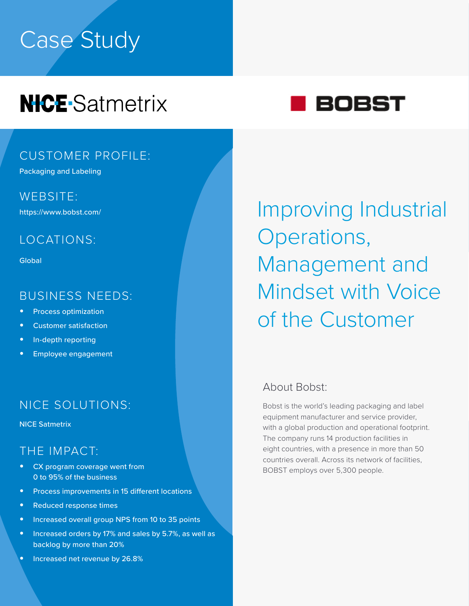# Case Study

# **NICE**-Satmetrix

## CUSTOMER PROFILE:

Packaging and Labeling

#### WEBSITE:

### LOCATIONS:

**Global** 

#### BUSINESS NEEDS:

- **•** Process optimization
- **•** Customer satisfaction
- **•** In-depth reporting
- **•** Employee engagement

## NICE SOLUTIONS:

NICE Satmetrix

### THE IMPACT:

- **•** CX program coverage went from 0 to 95% of the business
- **•** Process improvements in 15 different locations
- **•** Reduced response times
- **•** Increased overall group NPS from 10 to 35 points
- **•** Increased orders by 17% and sales by 5.7%, as well as backlog by more than 20%
- **•** Increased net revenue by 26.8%

# https://www.bobst.com/ **Improving Industrial** Operations, Management and Mindset with Voice of the Customer

#### About Bobst:

Bobst is the world's leading packaging and label equipment manufacturer and service provider, with a global production and operational footprint. The company runs 14 production facilities in eight countries, with a presence in more than 50 countries overall. Across its network of facilities, BOBST employs over 5,300 people.

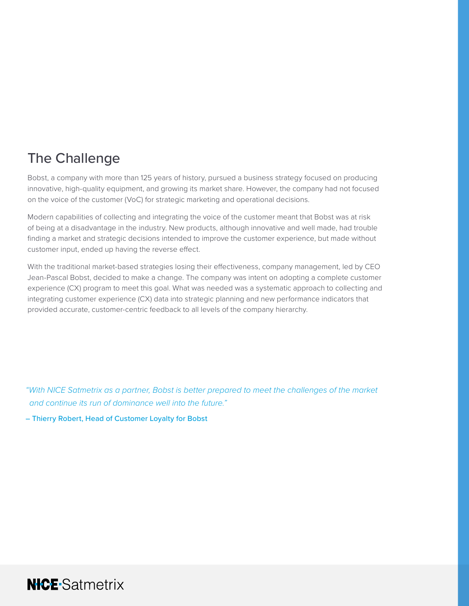# The Challenge

Bobst, a company with more than 125 years of history, pursued a business strategy focused on producing innovative, high-quality equipment, and growing its market share. However, the company had not focused on the voice of the customer (VoC) for strategic marketing and operational decisions.

Modern capabilities of collecting and integrating the voice of the customer meant that Bobst was at risk of being at a disadvantage in the industry. New products, although innovative and well made, had trouble finding a market and strategic decisions intended to improve the customer experience, but made without customer input, ended up having the reverse effect.

With the traditional market-based strategies losing their effectiveness, company management, led by CEO Jean-Pascal Bobst, decided to make a change. The company was intent on adopting a complete customer experience (CX) program to meet this goal. What was needed was a systematic approach to collecting and integrating customer experience (CX) data into strategic planning and new performance indicators that provided accurate, customer-centric feedback to all levels of the company hierarchy.

*"With NICE Satmetrix as a partner, Bobst is better prepared to meet the challenges of the market and continue its run of dominance well into the future."*

– Thierry Robert, Head of Customer Loyalty for Bobst

**NICE-Satmetrix**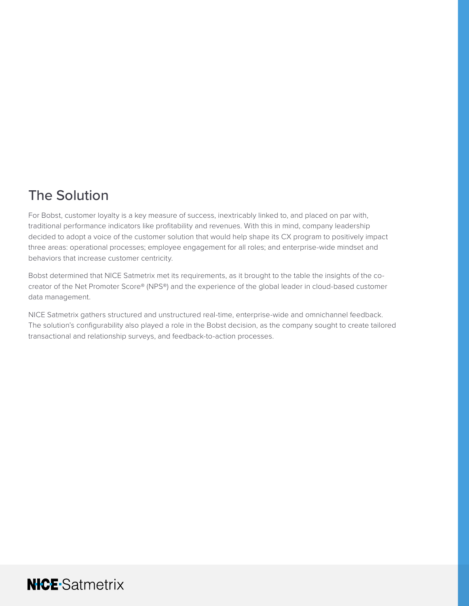## The Solution

For Bobst, customer loyalty is a key measure of success, inextricably linked to, and placed on par with, traditional performance indicators like profitability and revenues. With this in mind, company leadership decided to adopt a voice of the customer solution that would help shape its CX program to positively impact three areas: operational processes; employee engagement for all roles; and enterprise-wide mindset and behaviors that increase customer centricity.

Bobst determined that NICE Satmetrix met its requirements, as it brought to the table the insights of the cocreator of the Net Promoter Score® (NPS®) and the experience of the global leader in cloud-based customer data management.

NICE Satmetrix gathers structured and unstructured real-time, enterprise-wide and omnichannel feedback. The solution's configurability also played a role in the Bobst decision, as the company sought to create tailored transactional and relationship surveys, and feedback-to-action processes.

# **NICE-Satmetrix**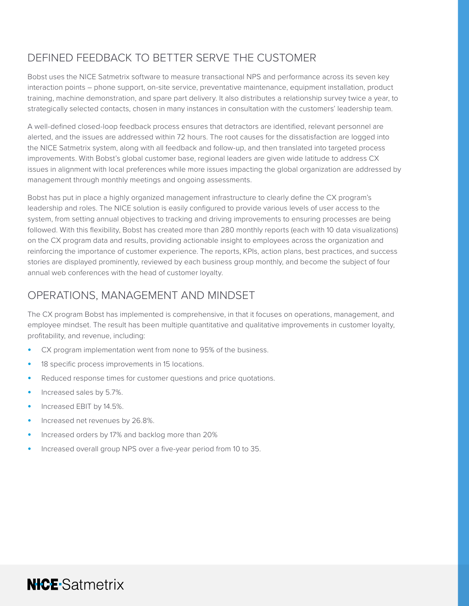### DEFINED FEEDBACK TO BETTER SERVE THE CUSTOMER

Bobst uses the NICE Satmetrix software to measure transactional NPS and performance across its seven key interaction points – phone support, on-site service, preventative maintenance, equipment installation, product training, machine demonstration, and spare part delivery. It also distributes a relationship survey twice a year, to strategically selected contacts, chosen in many instances in consultation with the customers' leadership team.

A well-defined closed-loop feedback process ensures that detractors are identified, relevant personnel are alerted, and the issues are addressed within 72 hours. The root causes for the dissatisfaction are logged into the NICE Satmetrix system, along with all feedback and follow-up, and then translated into targeted process improvements. With Bobst's global customer base, regional leaders are given wide latitude to address CX issues in alignment with local preferences while more issues impacting the global organization are addressed by management through monthly meetings and ongoing assessments.

Bobst has put in place a highly organized management infrastructure to clearly define the CX program's leadership and roles. The NICE solution is easily configured to provide various levels of user access to the system, from setting annual objectives to tracking and driving improvements to ensuring processes are being followed. With this flexibility, Bobst has created more than 280 monthly reports (each with 10 data visualizations) on the CX program data and results, providing actionable insight to employees across the organization and reinforcing the importance of customer experience. The reports, KPIs, action plans, best practices, and success stories are displayed prominently, reviewed by each business group monthly, and become the subject of four annual web conferences with the head of customer loyalty.

#### OPERATIONS, MANAGEMENT AND MINDSET

The CX program Bobst has implemented is comprehensive, in that it focuses on operations, management, and employee mindset. The result has been multiple quantitative and qualitative improvements in customer loyalty, profitability, and revenue, including:

- **•** CX program implementation went from none to 95% of the business.
- **•** 18 specific process improvements in 15 locations.
- **•** Reduced response times for customer questions and price quotations.
- **•** Increased sales by 5.7%.
- **•** Increased EBIT by 14.5%.
- **•** Increased net revenues by 26.8%.
- **•** Increased orders by 17% and backlog more than 20%
- **•** Increased overall group NPS over a five-year period from 10 to 35.

# **NICE-Satmetrix**